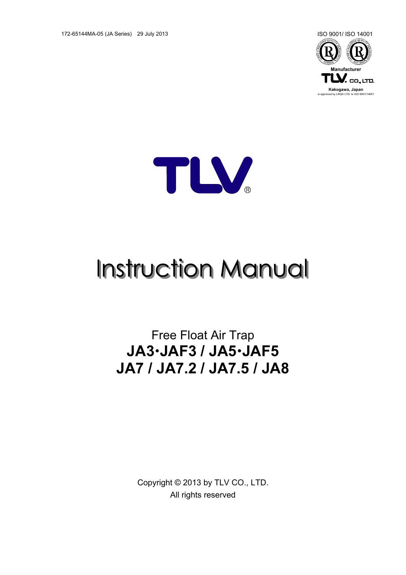172-65144MA-05 (JA Series) 29 July 2013 ISO 9001/ ISO 14001





# **Instruction Manual**

Free Float Air Trap **JA3JAF3 / JA5JAF5 JA7 / JA7.2 / JA7.5 / JA8**

> Copyright © 2013 by TLV CO., LTD. All rights reserved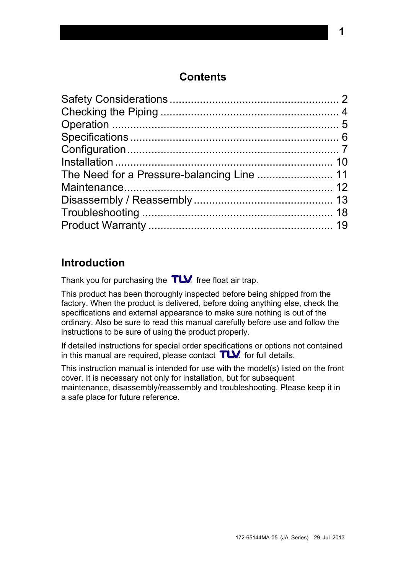## **Contents**

# **Introduction**

Thank you for purchasing the  $TLV$  free float air trap.

This product has been thoroughly inspected before being shipped from the factory. When the product is delivered, before doing anything else, check the specifications and external appearance to make sure nothing is out of the ordinary. Also be sure to read this manual carefully before use and follow the instructions to be sure of using the product properly.

If detailed instructions for special order specifications or options not contained in this manual are required, please contact  $T\mathbf{W}$  for full details.

This instruction manual is intended for use with the model(s) listed on the front cover. It is necessary not only for installation, but for subsequent maintenance, disassembly/reassembly and troubleshooting. Please keep it in a safe place for future reference.

172-65144MA-05 (JA Series) 29 Jul 2013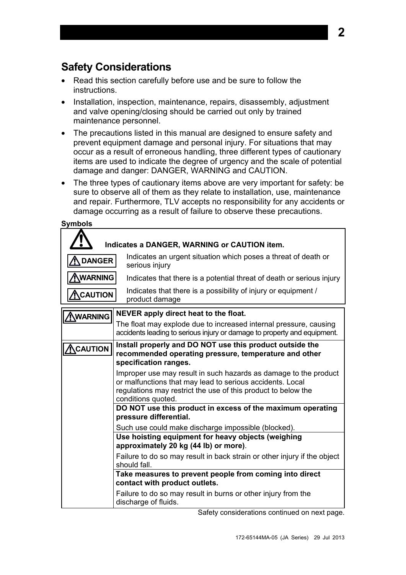# <span id="page-2-0"></span>**Safety Considerations**

- Read this section carefully before use and be sure to follow the instructions.
- Installation, inspection, maintenance, repairs, disassembly, adjustment and valve opening/closing should be carried out only by trained maintenance personnel.
- The precautions listed in this manual are designed to ensure safety and prevent equipment damage and personal injury. For situations that may occur as a result of erroneous handling, three different types of cautionary items are used to indicate the degree of urgency and the scale of potential damage and danger: DANGER, WARNING and CAUTION.
- The three types of cautionary items above are very important for safety: be sure to observe all of them as they relate to installation, use, maintenance and repair. Furthermore, TLV accepts no responsibility for any accidents or damage occurring as a result of failure to observe these precautions.

| <b>Symbols</b>  |                                                                                                                                                                                                                      |
|-----------------|----------------------------------------------------------------------------------------------------------------------------------------------------------------------------------------------------------------------|
|                 | Indicates a DANGER, WARNING or CAUTION item.                                                                                                                                                                         |
| <b>DANGER</b>   | Indicates an urgent situation which poses a threat of death or<br>serious injury                                                                                                                                     |
| <b>WARNING</b>  | Indicates that there is a potential threat of death or serious injury                                                                                                                                                |
| <b>ACAUTION</b> | Indicates that there is a possibility of injury or equipment /<br>product damage                                                                                                                                     |
| <b>NWARNING</b> | NEVER apply direct heat to the float.                                                                                                                                                                                |
|                 | The float may explode due to increased internal pressure, causing<br>accidents leading to serious injury or damage to property and equipment.                                                                        |
| <b>NCAUTION</b> | Install properly and DO NOT use this product outside the<br>recommended operating pressure, temperature and other<br>specification ranges.                                                                           |
|                 | Improper use may result in such hazards as damage to the product<br>or malfunctions that may lead to serious accidents. Local<br>regulations may restrict the use of this product to below the<br>conditions quoted. |
|                 | DO NOT use this product in excess of the maximum operating<br>pressure differential.                                                                                                                                 |
|                 | Such use could make discharge impossible (blocked).                                                                                                                                                                  |
|                 | Use hoisting equipment for heavy objects (weighing<br>approximately 20 kg (44 lb) or more).                                                                                                                          |
|                 | Failure to do so may result in back strain or other injury if the object<br>should fall.                                                                                                                             |
|                 | Take measures to prevent people from coming into direct<br>contact with product outlets.                                                                                                                             |
|                 | Failure to do so may result in burns or other injury from the<br>discharge of fluids.                                                                                                                                |

Safety considerations continued on next page.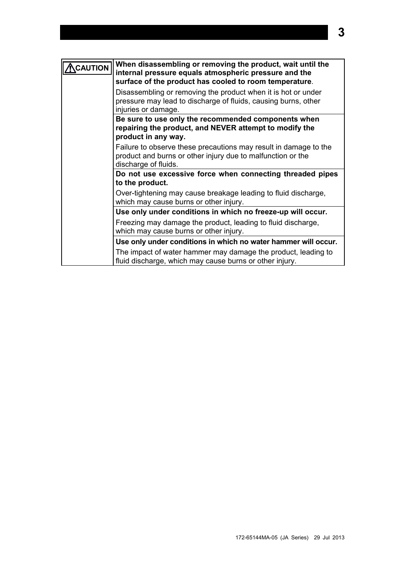| CAUTION | When disassembling or removing the product, wait until the<br>internal pressure equals atmospheric pressure and the<br>surface of the product has cooled to room temperature. |
|---------|-------------------------------------------------------------------------------------------------------------------------------------------------------------------------------|
|         | Disassembling or removing the product when it is hot or under<br>pressure may lead to discharge of fluids, causing burns, other<br>injuries or damage.                        |
|         | Be sure to use only the recommended components when<br>repairing the product, and NEVER attempt to modify the<br>product in any way.                                          |
|         | Failure to observe these precautions may result in damage to the<br>product and burns or other injury due to malfunction or the<br>discharge of fluids.                       |
|         | Do not use excessive force when connecting threaded pipes<br>to the product.                                                                                                  |
|         | Over-tightening may cause breakage leading to fluid discharge,<br>which may cause burns or other injury.                                                                      |
|         | Use only under conditions in which no freeze-up will occur.                                                                                                                   |
|         | Freezing may damage the product, leading to fluid discharge,<br>which may cause burns or other injury.                                                                        |
|         | Use only under conditions in which no water hammer will occur.                                                                                                                |
|         | The impact of water hammer may damage the product, leading to<br>fluid discharge, which may cause burns or other injury.                                                      |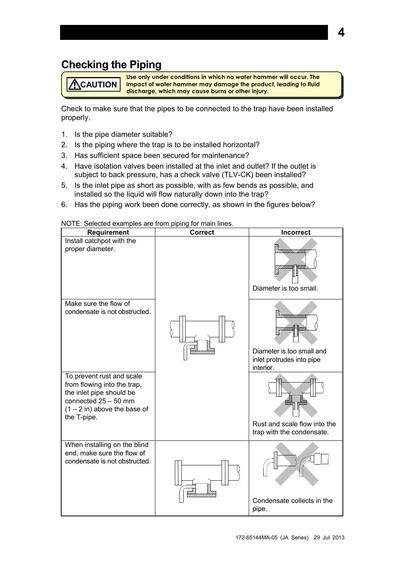# <span id="page-4-0"></span>**Checking the Piping**

**Use only under conditions in which no water hammer will occur. The impact of water hammer may damage the product, leading to fluid discharge, which may cause burns or other injury. ACAUTION** 

Check to make sure that the pipes to be connected to the trap have been installed properly.

- 1. Is the pipe diameter suitable?
- 2. Is the piping where the trap is to be installed horizontal?
- 3. Has sufficient space been secured for maintenance?
- 4. Have isolation valves been installed at the inlet and outlet? If the outlet is subject to back pressure, has a check valve (TLV-CK) been installed?
- 5. Is the inlet pipe as short as possible, with as few bends as possible, and installed so the liquid will flow naturally down into the trap?
- 6. Has the piping work been done correctly, as shown in the figures below?

| NOTE: Selected examples are from piping for main lines. |  |  |  |
|---------------------------------------------------------|--|--|--|
|                                                         |  |  |  |

| <b>Requirement</b>                                                                                                                                              | <b>Correct</b> | <b>Incorrect</b>                                                                |
|-----------------------------------------------------------------------------------------------------------------------------------------------------------------|----------------|---------------------------------------------------------------------------------|
| Install catchpot with the<br>proper diameter.                                                                                                                   |                | Muunuun<br>Diameter is too small.                                               |
| Make sure the flow of<br>condensate is not obstructed.                                                                                                          |                | 0aannaan<br>Diameter is too small and<br>inlet protrudes into pipe<br>interior. |
| To prevent rust and scale<br>from flowing into the trap,<br>the inlet pipe should be<br>connected $25 - 50$ mm<br>$(1 – 2 in)$ above the base of<br>the T-pipe. |                | Rust and scale flow into the<br>trap with the condensate.                       |
| When installing on the blind<br>end, make sure the flow of<br>condensate is not obstructed.                                                                     |                | Condensate collects in the<br>pipe.                                             |

172-65144MA-05 (JA Series) 29 Jul 2013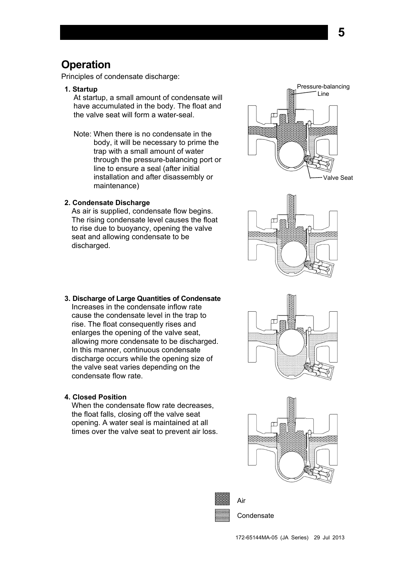## <span id="page-5-0"></span>**Operation**

Principles of condensate discharge:

**1. Startup**

At startup, a small amount of condensate will have accumulated in the body. The float and the valve seat will form a water-seal.

Note: When there is no condensate in the body, it will be necessary to prime the trap with a small amount of water through the pressure-balancing port or line to ensure a seal (after initial installation and after disassembly or maintenance)

#### **2. Condensate Discharge**

As air is supplied, condensate flow begins. The rising condensate level causes the float to rise due to buoyancy, opening the valve seat and allowing condensate to be discharged.



**5**



**3. Discharge of Large Quantities of Condensate** Increases in the condensate inflow rate cause the condensate level in the trap to rise. The float consequently rises and enlarges the opening of the valve seat, allowing more condensate to be discharged. In this manner, continuous condensate discharge occurs while the opening size of the valve seat varies depending on the condensate flow rate.

#### **4. Closed Position**

When the condensate flow rate decreases, the float falls, closing off the valve seat opening. A water seal is maintained at all times over the valve seat to prevent air loss.







**Condensate**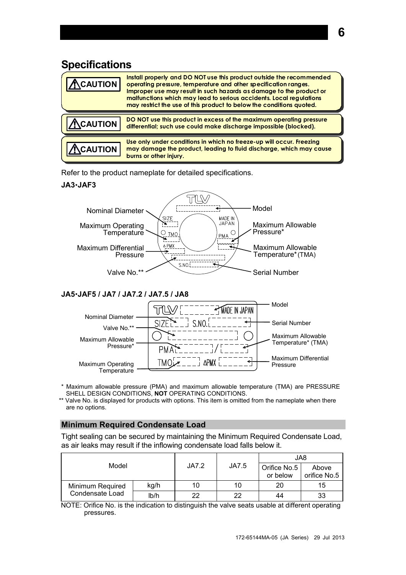## <span id="page-6-0"></span>**Specifications**

| CAUTION        | Install properly and DO NOT use this product outside the recommended<br>operating pressure, temperature and other specification ranges.<br>Improper use may result in such hazards as damage to the product or<br>malfunctions which may lead to serious accidents. Local regulations<br>may restrict the use of this product to below the conditions quoted. |
|----------------|---------------------------------------------------------------------------------------------------------------------------------------------------------------------------------------------------------------------------------------------------------------------------------------------------------------------------------------------------------------|
| <b>CAUTION</b> | DO NOT use this product in excess of the maximum operating pressure<br>differential; such use could make discharge impossible (blocked).                                                                                                                                                                                                                      |
| <b>CAUTION</b> | Use only under conditions in which no freeze-up will occur. Freezing<br>may damage the product, leading to fluid discharge, which may cause<br>burns or other injury.                                                                                                                                                                                         |

Refer to the product nameplate for detailed specifications.

#### **JA3JAF3**



#### **JA5JAF5 / JA7 / JA7.2 / JA7.5 / JA8**



- \* Maximum allowable pressure (PMA) and maximum allowable temperature (TMA) are PRESSURE SHELL DESIGN CONDITIONS, **NOT** OPERATING CONDITIONS.
- \*\* Valve No. is displayed for products with options. This item is omitted from the nameplate when there are no options.

#### **Minimum Required Condensate Load**

Tight sealing can be secured by maintaining the Minimum Required Condensate Load, as air leaks may result if the inflowing condensate load falls below it.

|                          |       |       |                          | JA8                   |    |  |  |
|--------------------------|-------|-------|--------------------------|-----------------------|----|--|--|
| Model                    | JA7.2 | JA7.5 | Orifice No.5<br>or below | Above<br>orifice No.5 |    |  |  |
| kg/h<br>Minimum Required | 10    | 10    | 20                       | 15                    |    |  |  |
| Condensate Load          | Ib/h  | 22    | 22                       | 44                    | 33 |  |  |

NOTE: Orifice No. is the indication to distinguish the valve seats usable at different operating pressures.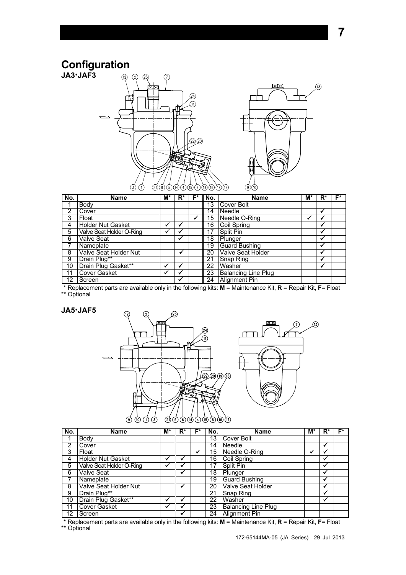## **Configuration**

<span id="page-7-0"></span>





**7**

| No.               | <b>Name</b>              | M* | $R^*$ | F* | No. | <b>Name</b>                | M* | $R^*$ | F* |
|-------------------|--------------------------|----|-------|----|-----|----------------------------|----|-------|----|
|                   | Body                     |    |       |    | 13  | Cover Bolt                 |    |       |    |
| 2                 | Cover                    |    |       |    | 14  | Needle                     |    | ✔     |    |
| 3                 | Float                    |    |       | ✔  | 15  | Needle O-Ring              | ₩  | ✔     |    |
| 4                 | <b>Holder Nut Gasket</b> | ✔  |       |    | 16  | <b>Coil Spring</b>         |    | ✔     |    |
| 5                 | Valve Seat Holder O-Ring |    |       |    | 17  | Split Pin                  |    | ✔     |    |
| 6                 | Valve Seat               |    | ✔     |    | 18  | Plunger                    |    | v     |    |
|                   | Nameplate                |    |       |    | 19  | <b>Guard Bushing</b>       |    | √     |    |
| 8                 | Valve Seat Holder Nut    |    | M     |    | 20  | Valve Seat Holder          |    | ✔     |    |
| 9                 | Drain Plug**             |    |       |    | 21  | Snap Ring                  |    | ✔     |    |
| 10                | Drain Plug Gasket**      |    |       |    | 22  | Washer                     |    | √     |    |
| 11                | <b>Cover Gasket</b>      | ✔  |       |    | 23  | <b>Balancing Line Plug</b> |    |       |    |
| $12 \overline{ }$ | Screen                   |    | ✔     |    | 24  | Alignment Pin              |    |       |    |

\* Replacement parts are available only in the following kits: **M** = Maintenance Kit, **R** = Repair Kit, **F**= Float \*\* Optional

#### **JA5JAF5**



| No. | <b>Name</b>              | M* | R* | F* | No. | <b>Name</b>                | M* | R*           | F* |
|-----|--------------------------|----|----|----|-----|----------------------------|----|--------------|----|
|     | Body                     |    |    |    | 13  | Cover Bolt                 |    |              |    |
| 2   | Cover                    |    |    |    | 14  | Needle                     |    | v            |    |
| 3   | Float                    |    |    |    | 15  | Needle O-Ring              |    | $\bullet$    |    |
| 4   | <b>Holder Nut Gasket</b> |    |    |    | 16  | Coil Spring                |    | ✔            |    |
| 5   | Valve Seat Holder O-Ring |    |    |    | 17  | Split Pin                  |    | ✔            |    |
| 6   | <b>Valve Seat</b>        |    |    |    | 18  | Plunger                    |    | w            |    |
|     | Nameplate                |    |    |    | 19  | <b>Guard Bushing</b>       |    | $\mathbf{v}$ |    |
| 8   | Valve Seat Holder Nut    |    |    |    | 20  | <b>Valve Seat Holder</b>   |    | √            |    |
| 9   | Drain Plug**             |    |    |    | 21  | Snap Ring                  |    | ✔            |    |
| 10  | Drain Plug Gasket**      |    |    |    | 22  | Washer                     |    | v            |    |
| 11  | <b>Cover Gasket</b>      |    |    |    | 23  | <b>Balancing Line Plug</b> |    |              |    |
| 12  | Screen                   |    |    |    | 24  | <b>Alignment Pin</b>       |    |              |    |

\* Replacement parts are available only in the following kits: **M** = Maintenance Kit, **R** = Repair Kit, **F**= Float \*\* Optional

172-65144MA-05 (JA Series) 29 Jul 2013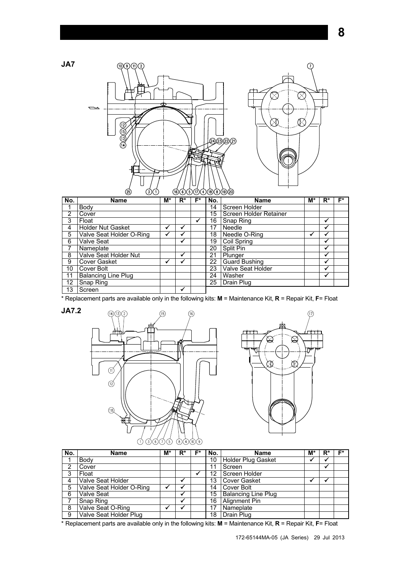





|     | ردی<br>シハワ<br>֍௸௸௸௸        |    |       |     |       |                        |    |       |    |  |  |  |  |  |
|-----|----------------------------|----|-------|-----|-------|------------------------|----|-------|----|--|--|--|--|--|
| No. | Name                       | M* | $R^*$ | F*. | l No. | Name                   | M* | $R^*$ | F* |  |  |  |  |  |
|     | Body                       |    |       |     | 14    | Screen Holder          |    |       |    |  |  |  |  |  |
| 2   | Cover                      |    |       |     | 15    | Screen Holder Retainer |    |       |    |  |  |  |  |  |
| 3   | Float                      |    |       | ✔   | 16    | Snap Ring              |    | ✔     |    |  |  |  |  |  |
| 4   | <b>Holder Nut Gasket</b>   |    |       |     | 17    | Needle                 |    | v     |    |  |  |  |  |  |
| 5   | Valve Seat Holder O-Ring   |    |       |     | 18    | Needle O-Ring          |    |       |    |  |  |  |  |  |
| 6   | <b>Valve Seat</b>          |    |       |     | 19    | Coil Spring            |    | ✔     |    |  |  |  |  |  |
|     | Nameplate                  |    |       |     | 20    | Split Pin              |    | ✔     |    |  |  |  |  |  |
| 8   | Valve Seat Holder Nut      |    |       |     | 21    | Plunger                |    | v     |    |  |  |  |  |  |
| 9   | Cover Gasket               |    |       |     | 22    | <b>Guard Bushing</b>   |    | ✔     |    |  |  |  |  |  |
| 10  | Cover Bolt                 |    |       |     | 23    | Valve Seat Holder      |    | ✔     |    |  |  |  |  |  |
| 11  | <b>Balancing Line Plug</b> |    |       |     | 24    | Washer                 |    | √     |    |  |  |  |  |  |
| 12  | Snap Ring                  |    |       |     | 25    | Drain Plug             |    |       |    |  |  |  |  |  |
| 13  | Screen                     |    | ✔     |     |       |                        |    |       |    |  |  |  |  |  |

\* Replacement parts are available only in the following kits: **M** = Maintenance Kit, **R** = Repair Kit, **F**= Float







| No. | <b>Name</b>              | M* | $R^*$ | F* | No. | <b>Name</b>                | M* | R* | E* |
|-----|--------------------------|----|-------|----|-----|----------------------------|----|----|----|
|     | Body                     |    |       |    | 10  | Holder Plug Gasket         |    |    |    |
| 2   | Cover                    |    |       |    |     | Screen                     |    |    |    |
| -3  | Float                    |    |       |    | 12  | Screen Holder              |    |    |    |
| 4   | Valve Seat Holder        |    |       |    | 13  | Cover Gasket               |    |    |    |
| 5   | Valve Seat Holder O-Ring |    |       |    | 14  | <b>Cover Bolt</b>          |    |    |    |
| 6   | <b>Valve Seat</b>        |    |       |    | 15  | <b>Balancing Line Plug</b> |    |    |    |
|     | Snap Ring                |    |       |    | 16  | Alignment Pin              |    |    |    |
| 8   | Valve Seat O-Ring        |    |       |    |     | Nameplate                  |    |    |    |
| - 9 | Valve Seat Holder Plug   |    |       |    | 18  | Drain Plug                 |    |    |    |

\* Replacement parts are available only in the following kits: **M** = Maintenance Kit, **R** = Repair Kit, **F**= Float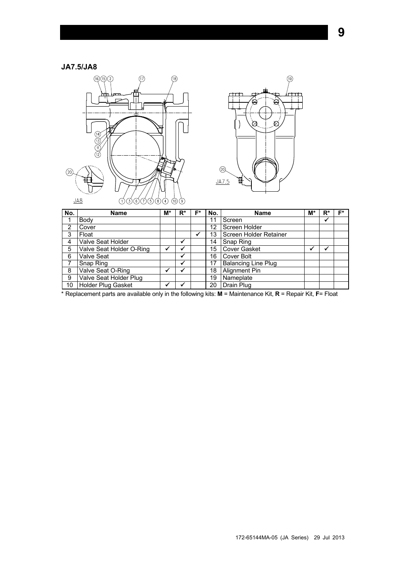## **JA7.5/JA8**





| No. | <b>Name</b>              | M* | R* | Е* | No. | <b>Name</b>                | M* | R* | E* |
|-----|--------------------------|----|----|----|-----|----------------------------|----|----|----|
|     | Body                     |    |    |    | 11  | Screen                     |    | √  |    |
| 2   | Cover                    |    |    |    | 12  | Screen Holder              |    |    |    |
| 3   | Float                    |    |    |    | 13  | Screen Holder Retainer     |    |    |    |
| 4   | Valve Seat Holder        |    | ✔  |    | 14  | Snap Ring                  |    |    |    |
| 5   | Valve Seat Holder O-Ring |    |    |    | 15  | <b>Cover Gasket</b>        |    |    |    |
| 6   | <b>Valve Seat</b>        |    | ✔  |    | 16  | Cover Bolt                 |    |    |    |
| 7   | Snap Ring                |    | ✔  |    | 17  | <b>Balancing Line Plug</b> |    |    |    |
| 8   | Valve Seat O-Ring        |    |    |    | 18  | Alignment Pin              |    |    |    |
| 9   | Valve Seat Holder Plug   |    |    |    | 19  | Nameplate                  |    |    |    |
| 10  | Holder Plug Gasket       |    |    |    | 20  | Drain Plug                 |    |    |    |

\* Replacement parts are available only in the following kits: **M** = Maintenance Kit, **R** = Repair Kit, **F**= Float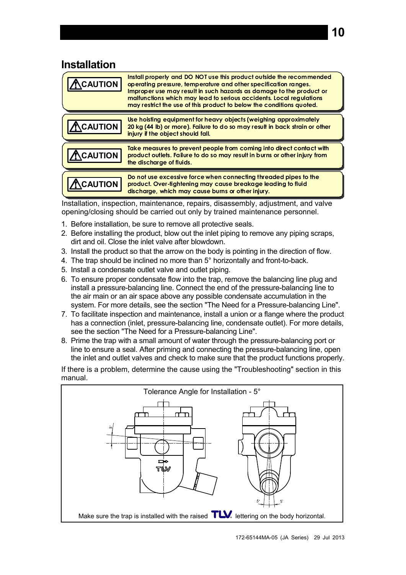## <span id="page-10-0"></span>**Installation**

| <b>AUTION</b>  | Install properly and DO NOT use this product outside the recommended<br>operating pressure, temperature and other specification ranges.<br>Improper use may result in such hazards as damage to the product or<br>malfunctions which may lead to serious accidents. Local requiations<br>may restrict the use of this product to below the conditions quoted. |
|----------------|---------------------------------------------------------------------------------------------------------------------------------------------------------------------------------------------------------------------------------------------------------------------------------------------------------------------------------------------------------------|
| <b>AUTION</b>  | Use hoisting equipment for heavy objects (weighing approximately<br>20 kg (44 lb) or more). Failure to do so may result in back strain or other<br>injury if the object should fall.                                                                                                                                                                          |
| <b>AUTION</b>  | Take measures to prevent people from coming into direct contact with<br>product outlets. Failure to do so may result in burns or other injury from<br>the discharge of fluids.                                                                                                                                                                                |
| <b>AUTION:</b> | Do not use excessive force when connecting threaded pipes to the<br>product. Over-tightening may cause breakage leading to fluid<br>discharge, which may cause burns or other injury.                                                                                                                                                                         |

Installation, inspection, maintenance, repairs, disassembly, adjustment, and valve opening/closing should be carried out only by trained maintenance personnel.

- 1. Before installation, be sure to remove all protective seals.
- 2. Before installing the product, blow out the inlet piping to remove any piping scraps, dirt and oil. Close the inlet valve after blowdown.
- 3. Install the product so that the arrow on the body is pointing in the direction of flow.
- 4. The trap should be inclined no more than 5° horizontally and front-to-back.
- 5. Install a condensate outlet valve and outlet piping.
- 6. To ensure proper condensate flow into the trap, remove the balancing line plug and install a pressure-balancing line. Connect the end of the pressure-balancing line to the air main or an air space above any possible condensate accumulation in the system. For more details, see the section "The Need for a Pressure-balancing Line".
- 7. To facilitate inspection and maintenance, install a union or a flange where the product has a connection (inlet, pressure-balancing line, condensate outlet). For more details, see the section "The Need for a Pressure-balancing Line".
- 8. Prime the trap with a small amount of water through the pressure-balancing port or line to ensure a seal. After priming and connecting the pressure-balancing line, open the inlet and outlet valves and check to make sure that the product functions properly.

If there is a problem, determine the cause using the "Troubleshooting" section in this manual.

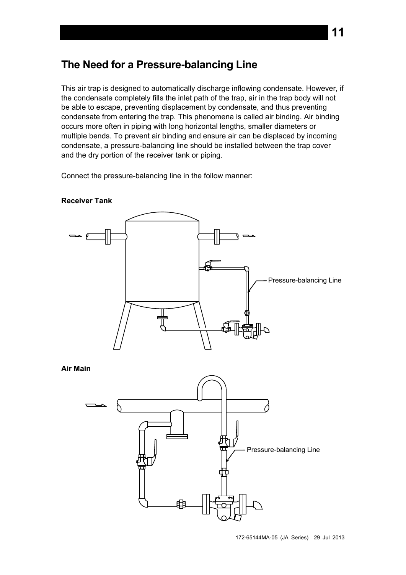# <span id="page-11-0"></span>**The Need for a Pressure-balancing Line**

This air trap is designed to automatically discharge inflowing condensate. However, if the condensate completely fills the inlet path of the trap, air in the trap body will not be able to escape, preventing displacement by condensate, and thus preventing condensate from entering the trap. This phenomena is called air binding. Air binding occurs more often in piping with long horizontal lengths, smaller diameters or multiple bends. To prevent air binding and ensure air can be displaced by incoming condensate, a pressure-balancing line should be installed between the trap cover and the dry portion of the receiver tank or piping.

Connect the pressure-balancing line in the follow manner:



**Receiver Tank** 



172-65144MA-05 (JA Series) 29 Jul 2013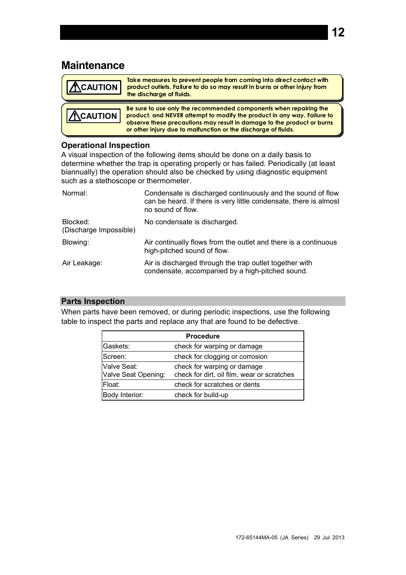## <span id="page-12-0"></span>**Maintenance**

| <b>ACAUTION</b> | Take measures to prevent people from coming into direct contact with<br>product outlets. Failure to do so may result in burns or other injury from<br>the discharge of fluids.                                                                                                           |
|-----------------|------------------------------------------------------------------------------------------------------------------------------------------------------------------------------------------------------------------------------------------------------------------------------------------|
| <b>ACAUTION</b> | Be sure to use only the recommended components when repairing the<br>product, and NEVER attempt to modify the product in any way. Failure to<br>observe these precautions may result in damage to the product or burns<br>or other injury due to malfunction or the discharge of fluids. |

#### **Operational Inspection**

A visual inspection of the following items should be done on a daily basis to determine whether the trap is operating properly or has failed. Periodically (at least biannually) the operation should also be checked by using diagnostic equipment such as a stethoscope or thermometer.

| Normal:                            | Condensate is discharged continuously and the sound of flow<br>can be heard. If there is very little condensate, there is almost<br>no sound of flow. |
|------------------------------------|-------------------------------------------------------------------------------------------------------------------------------------------------------|
| Blocked:<br>(Discharge Impossible) | No condensate is discharged.                                                                                                                          |
| Blowing:                           | Air continually flows from the outlet and there is a continuous<br>high-pitched sound of flow.                                                        |
| Air Leakage:                       | Air is discharged through the trap outlet together with<br>condensate, accompanied by a high-pitched sound.                                           |

#### **Parts Inspection**

When parts have been removed, or during periodic inspections, use the following table to inspect the parts and replace any that are found to be defective.

| <b>Procedure</b>                   |                                                                            |  |  |
|------------------------------------|----------------------------------------------------------------------------|--|--|
| Gaskets:                           | check for warping or damage                                                |  |  |
| Screen:                            | check for clogging or corrosion                                            |  |  |
| Valve Seat:<br>Valve Seat Opening: | check for warping or damage<br>check for dirt, oil film, wear or scratches |  |  |
| Float:                             | check for scratches or dents                                               |  |  |
| Body Interior:                     | check for build-up                                                         |  |  |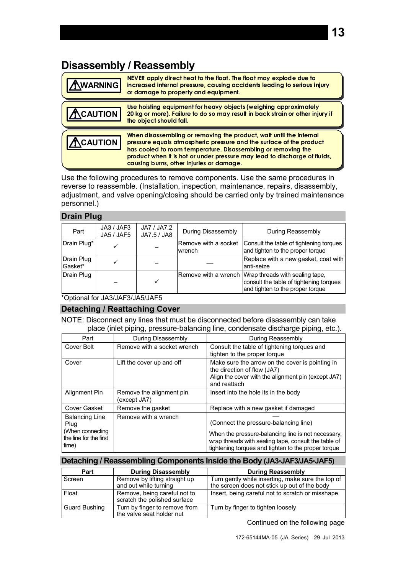# <span id="page-13-0"></span>**Disassembly / Reassembly**

| <b>WARNING</b> | NEVER apply direct heat to the float. The float may explode due to<br>increased internal pressure, causing accidents leading to serious injury<br>or damage to property and equipment.                                                                                                                                               |
|----------------|--------------------------------------------------------------------------------------------------------------------------------------------------------------------------------------------------------------------------------------------------------------------------------------------------------------------------------------|
| <b>CAUTION</b> | Use hoisting equipment for heavy objects (weighing approximately<br>20 kg or more). Failure to do so may result in back strain or other injury if<br>the object should fall.                                                                                                                                                         |
| <b>CAUTION</b> | When disassembling or removing the product, wait until the internal<br>pressure equals atmospheric pressure and the surface of the product<br>has cooled to room temperature. Disassembling or removing the<br>product when it is hot or under pressure may lead to discharge of fluids,<br>causing burns, other injuries or damage. |

Use the following procedures to remove components. Use the same procedures in reverse to reassemble. (Installation, inspection, maintenance, repairs, disassembly, adjustment, and valve opening/closing should be carried only by trained maintenance personnel.)

#### **Drain Plug**

| Part                  | JA3 / JAF3<br>JA5 / JAF5 | JA7 / JA7.2<br>JA7.5 / JA8 | <b>During Disassembly</b>      | During Reassembly                                                                                                                   |
|-----------------------|--------------------------|----------------------------|--------------------------------|-------------------------------------------------------------------------------------------------------------------------------------|
| Drain Plug*           |                          |                            | Remove with a socket<br>wrench | Consult the table of tightening torques<br>and tighten to the proper torque                                                         |
| Drain Plug<br>Gasket* |                          |                            |                                | Replace with a new gasket, coat with<br>lanti-seize                                                                                 |
| Drain Plug            |                          |                            |                                | Remove with a wrench Wrap threads with sealing tape,<br>consult the table of tightening torques<br>and tighten to the proper torque |

\*Optional for JA3/JAF3/JA5/JAF5

#### **Detaching / Reattaching Cover**

NOTE: Disconnect any lines that must be disconnected before disassembly can take place (inlet piping, pressure-balancing line, condensate discharge piping, etc.).

| Part                                                                                 | During Disassembly                       | During Reassembly                                                                                                                                                                                          |
|--------------------------------------------------------------------------------------|------------------------------------------|------------------------------------------------------------------------------------------------------------------------------------------------------------------------------------------------------------|
| Cover Bolt                                                                           | Remove with a socket wrench              | Consult the table of tightening torques and<br>tighten to the proper torque                                                                                                                                |
| Cover                                                                                | Lift the cover up and off                | Make sure the arrow on the cover is pointing in<br>the direction of flow (JA7)<br>Align the cover with the alignment pin (except JA7)<br>and reattach                                                      |
| Alignment Pin                                                                        | Remove the alignment pin<br>(except JA7) | Insert into the hole its in the body                                                                                                                                                                       |
| Cover Gasket                                                                         | Remove the gasket                        | Replace with a new gasket if damaged                                                                                                                                                                       |
| <b>Balancing Line</b><br>Plug<br>(When connecting<br>the line for the first<br>time) | Remove with a wrench                     | (Connect the pressure-balancing line)<br>When the pressure-balancing line is not necessary,<br>wrap threads with sealing tape, consult the table of<br>tightening torques and tighten to the proper torque |

#### **Detaching / Reassembling Components Inside the Body (JA3JAF3/JA5JAF5)**

| Part                 | <b>During Disassembly</b>                                    | <b>During Reassembly</b>                                                                          |
|----------------------|--------------------------------------------------------------|---------------------------------------------------------------------------------------------------|
| Screen               | Remove by lifting straight up<br>and out while turning       | Turn gently while inserting, make sure the top of<br>the screen does not stick up out of the body |
| Float                | Remove, being careful not to<br>scratch the polished surface | Insert, being careful not to scratch or misshape                                                  |
| <b>Guard Bushing</b> | Turn by finger to remove from<br>the valve seat holder nut   | Turn by finger to tighten loosely                                                                 |

Continued on the following page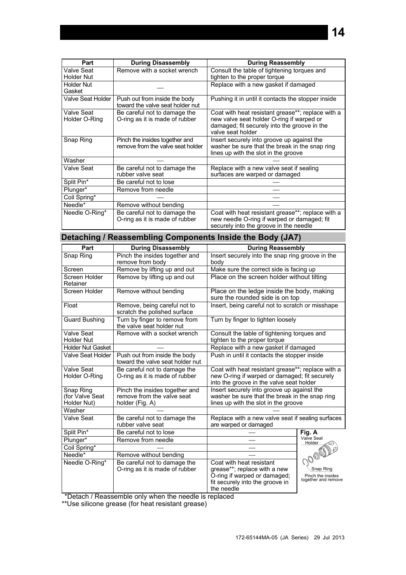| Part                                   | <b>During Disassembly</b>                                           | <b>During Reassembly</b>                                                                                                                                            |
|----------------------------------------|---------------------------------------------------------------------|---------------------------------------------------------------------------------------------------------------------------------------------------------------------|
| <b>Valve Seat</b><br><b>Holder Nut</b> | Remove with a socket wrench                                         | Consult the table of tightening torques and<br>tighten to the proper torque                                                                                         |
| <b>Holder Nut</b><br>Gasket            |                                                                     | Replace with a new gasket if damaged                                                                                                                                |
| Valve Seat Holder                      | Push out from inside the body<br>toward the valve seat holder nut   | Pushing it in until it contacts the stopper inside                                                                                                                  |
| <b>Valve Seat</b><br>Holder O-Ring     | Be careful not to damage the<br>O-ring as it is made of rubber      | Coat with heat resistant grease**; replace with a<br>new valve seat holder O-ring if warped or<br>damaged; fit securely into the groove in the<br>valve seat holder |
| Snap Ring                              | Pinch the insides together and<br>remove from the valve seat holder | Insert securely into groove up against the<br>washer be sure that the break in the snap ring<br>lines up with the slot in the groove                                |
| Washer                                 |                                                                     |                                                                                                                                                                     |
| <b>Valve Seat</b>                      | Be careful not to damage the<br>rubber valve seat                   | Replace with a new valve seat if sealing<br>surfaces are warped or damaged                                                                                          |
| Split Pin*                             | Be careful not to lose                                              |                                                                                                                                                                     |
| Plunger*                               | Remove from needle                                                  |                                                                                                                                                                     |
| Coil Spring*                           |                                                                     |                                                                                                                                                                     |
| Needle*                                | Remove without bending                                              |                                                                                                                                                                     |
| Needle O-Ring*                         | Be careful not to damage the<br>O-ring as it is made of rubber      | Coat with heat resistant grease**; replace with a<br>new needle O-ring if warped or damaged; fit<br>securely into the groove in the needle                          |

## **Detaching / Reassembling Components Inside the Body (JA7)**

| Part                                        | <b>During Disassembly</b>                                                       | <b>During Reassembly</b>                                                                                                                       |                                                                 |  |
|---------------------------------------------|---------------------------------------------------------------------------------|------------------------------------------------------------------------------------------------------------------------------------------------|-----------------------------------------------------------------|--|
| Snap Ring                                   | Pinch the insides together and<br>remove from body                              | Insert securely into the snap ring groove in the<br>body                                                                                       |                                                                 |  |
| Screen                                      | Remove by lifting up and out                                                    | Make sure the correct side is facing up                                                                                                        |                                                                 |  |
| Screen Holder<br>Retainer                   | Remove by lifting up and out                                                    | Place on the screen holder without tilting                                                                                                     |                                                                 |  |
| Screen Holder                               | Remove without bending                                                          | Place on the ledge inside the body, making<br>sure the rounded side is on top                                                                  |                                                                 |  |
| Float                                       | Remove, being careful not to<br>scratch the polished surface                    | Insert, being careful not to scratch or misshape                                                                                               |                                                                 |  |
| <b>Guard Bushing</b>                        | Turn by finger to remove from<br>the valve seat holder nut                      | Turn by finger to tighten loosely                                                                                                              |                                                                 |  |
| Valve Seat<br><b>Holder Nut</b>             | Remove with a socket wrench                                                     | Consult the table of tightening torques and<br>tighten to the proper torque                                                                    |                                                                 |  |
| <b>Holder Nut Gasket</b>                    |                                                                                 | Replace with a new gasket if damaged                                                                                                           |                                                                 |  |
| <b>Valve Seat Holder</b>                    | Push out from inside the body<br>toward the valve seat holder nut               | Push in until it contacts the stopper inside                                                                                                   |                                                                 |  |
| Valve Seat<br>Holder O-Ring                 | Be careful not to damage the<br>O-ring as it is made of rubber                  | Coat with heat resistant grease**; replace with a<br>new O-ring if warped or damaged; fit securely<br>into the groove in the valve seat holder |                                                                 |  |
| Snap Ring<br>(for Valve Seat<br>Holder Nut) | Pinch the insides together and<br>remove from the valve seat<br>holder (Fig. A) | Insert securely into groove up against the<br>washer be sure that the break in the snap ring<br>lines up with the slot in the groove           |                                                                 |  |
| Washer                                      |                                                                                 |                                                                                                                                                |                                                                 |  |
| Valve Seat                                  | Be careful not to damage the<br>rubber valve seat                               | Replace with a new valve seat if sealing surfaces<br>are warped or damaged                                                                     |                                                                 |  |
| Split Pin*                                  | Be careful not to lose                                                          |                                                                                                                                                | Fig. A                                                          |  |
| Plunger*                                    | Remove from needle                                                              |                                                                                                                                                | Valve Seat<br>Holder                                            |  |
| Coil Spring*                                |                                                                                 |                                                                                                                                                |                                                                 |  |
| Needle*                                     | Remove without bending                                                          |                                                                                                                                                |                                                                 |  |
| Needle O-Ring*                              | Be careful not to damage the<br>O-ring as it is made of rubber                  | Coat with heat resistant<br>grease**; replace with a new<br>O-ring if warped or damaged;<br>fit securely into the groove in<br>the needle      | OOODDE<br>Snap Ring<br>Pinch the insides<br>together and remove |  |

\*Detach / Reassemble only when the needle is replaced

\*\*Use silicone grease (for heat resistant grease)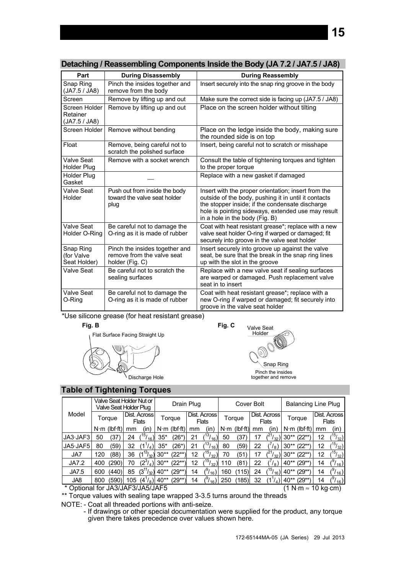|  | Detaching / Reassembling Components Inside the Body (JA 7.2 / JA7.5 / JA8) |  |  |
|--|----------------------------------------------------------------------------|--|--|
|  |                                                                            |  |  |
|  |                                                                            |  |  |
|  |                                                                            |  |  |

| Part                                       | <b>During Disassembly</b>                                                       | <b>During Reassembly</b>                                                                                                                                                                                                                               |
|--------------------------------------------|---------------------------------------------------------------------------------|--------------------------------------------------------------------------------------------------------------------------------------------------------------------------------------------------------------------------------------------------------|
| Snap Ring<br>(JA7.5 / JA8)                 | Pinch the insides together and<br>remove from the body                          | Insert securely into the snap ring groove in the body                                                                                                                                                                                                  |
| Screen                                     | Remove by lifting up and out                                                    | Make sure the correct side is facing up (JA7.5 / JA8)                                                                                                                                                                                                  |
| Screen Holder<br>Retainer<br>(JA7.5 / JA8) | Remove by lifting up and out                                                    | Place on the screen holder without tilting                                                                                                                                                                                                             |
| Screen Holder                              | Remove without bending                                                          | Place on the ledge inside the body, making sure<br>the rounded side is on top                                                                                                                                                                          |
| Float                                      | Remove, being careful not to<br>scratch the polished surface                    | Insert, being careful not to scratch or misshape                                                                                                                                                                                                       |
| Valve Seat<br>Holder Plug                  | Remove with a socket wrench                                                     | Consult the table of tightening torques and tighten<br>to the proper torque                                                                                                                                                                            |
| <b>Holder Plug</b><br>Gasket               |                                                                                 | Replace with a new gasket if damaged                                                                                                                                                                                                                   |
| Valve Seat<br>Holder                       | Push out from inside the body<br>toward the valve seat holder<br>plug           | Insert with the proper orientation; insert from the<br>outside of the body, pushing it in until it contacts<br>the stopper inside; if the condensate discharge<br>hole is pointing sideways, extended use may result<br>in a hole in the body (Fig. B) |
| Valve Seat<br>Holder O-Ring                | Be careful not to damage the<br>O-ring as it is made of rubber                  | Coat with heat resistant grease*; replace with a new<br>valve seat holder O-ring if warped or damaged; fit<br>securely into groove in the valve seat holder                                                                                            |
| Snap Ring<br>(for Valve<br>Seat Holder)    | Pinch the insides together and<br>remove from the valve seat<br>holder (Fig. C) | Insert securely into groove up against the valve<br>seat, be sure that the break in the snap ring lines<br>up with the slot in the groove                                                                                                              |
| Valve Seat                                 | Be careful not to scratch the<br>sealing surfaces                               | Replace with a new valve seat if sealing surfaces<br>are warped or damaged. Push replacement valve<br>seat in to insert                                                                                                                                |
| Valve Seat<br>O-Ring                       | Be careful not to damage the<br>O-ring as it is made of rubber                  | Coat with heat resistant grease*; replace with a<br>new O-ring if warped or damaged; fit securely into<br>groove in the valve seat holder                                                                                                              |

\*Use silicone grease (for heat resistant grease)

#### **Fig. B**





Discharge Hole

Snap Ring Pinch the insides together and remove

#### **Table of Tightening Torques**

|          | Valve Seat Holder Nut or<br>Valve Seat Holder Plug |                   |                                     |                          | Drain Plug  |                  |                              | Cover Bolt                         |             |                  |                       | <b>Balancing Line Plug</b> |        |                              |                              |                         |
|----------|----------------------------------------------------|-------------------|-------------------------------------|--------------------------|-------------|------------------|------------------------------|------------------------------------|-------------|------------------|-----------------------|----------------------------|--------|------------------------------|------------------------------|-------------------------|
| Model    | Torque                                             |                   | <b>Dist. Across</b><br><b>Flats</b> |                          | Torque      |                  | Dist. Across<br><b>Flats</b> |                                    | Torque      |                  | Dist. Across<br>Flats |                            | Torque |                              | Dist. Across<br><b>Flats</b> |                         |
|          | $N \cdot m$                                        | $(lbf{\cdot fl})$ | mm                                  | (in                      | $N \cdot m$ | $(lbf \cdot ft)$ | mm                           | (in                                | $N \cdot m$ | $(lbf \cdot ft)$ | mm                    | (in)                       |        | $N \cdot m$ (lbf $\cdot$ ft) | mm                           | (in)                    |
| JA3.JAF3 | 50                                                 | 37                | 24                                  | 15 <sub>1</sub><br>(16)  | $35*$       | '26*             | 21                           | 13 <sub>1</sub><br>16 <sub>l</sub> | 50          | 37               | 17                    | 32                         | $30**$ | 22**                         | 12                           | 15 <sub>1</sub><br>132) |
| JA5-JAF5 | 80                                                 | (59)              | 32                                  |                          | $35*$       | (26*)            | 21                           | 13,<br>16)                         | 80          | (59)             | 22                    | $\binom{1}{8}$             | $30**$ | (22**                        | 12                           | 15 <sub>1</sub><br>'32) |
| JA7      | 120                                                | '88)              | 36                                  | 13,<br>ا 32              | $30**$      | (22**)           | 12                           | ,15،<br>/ 32                       | 70          | ΄51              | 17                    | 32)                        | $30**$ | '22**`                       | 12                           | 15 <sub>1</sub><br>132) |
| JA7.2    | 400                                                | (290)             | 70                                  | $(2^3/4)$                | $30**$      | $(22^{**})$      | 12                           | ,15،<br>32)                        | 10          | (81              | 22                    | $\binom{8}{}$              | 40**   | $(29**)$                     | 14                           | $(1_{16})$              |
| JA7.5    | 600                                                | (440)             | 85                                  | $(3^{11}/_{32})$         | $40**$      | (29**)           | 14                           | ( 16                               | 160         | 15)              | 24                    | 15,<br>16)                 | 40**   | '29**`                       | 14                           | $r_{16}$                |
| JA8      | 800                                                | (590)             | 105                                 | $\frac{4}{4}$<br>$18$ ll | 40**        | (29**)           | 14                           | 16                                 |             | (185)            | 32                    | 4 I                        | $40**$ | '**'29                       | 14                           | $(1_{16})$              |

\* Optional for JA3/JAF3/JA5/JAF5 (1 N⋅m ≈ 10 kg⋅cm)

\*\* Torque values with sealing tape wrapped 3-3.5 turns around the threads

NOTE: - Coat all threaded portions with anti-seize.

 - If drawings or other special documentation were supplied for the product, any torque given there takes precedence over values shown here.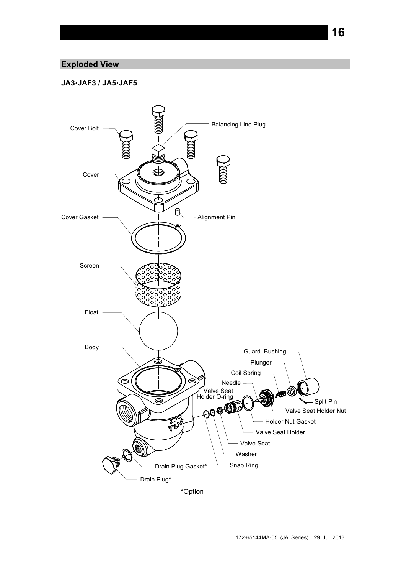### **Exploded View**

#### **JA3JAF3 / JA5JAF5**

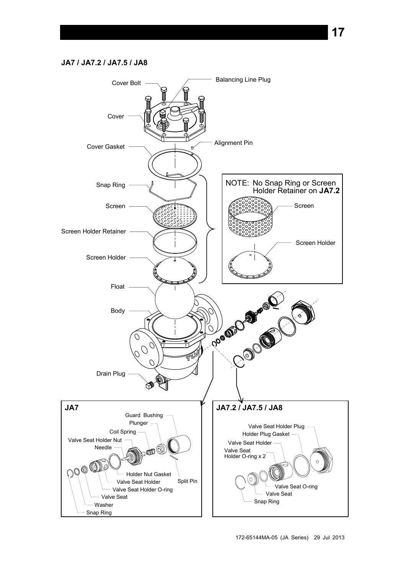#### **JA7 / JA7.2 / JA7.5 / JA8**

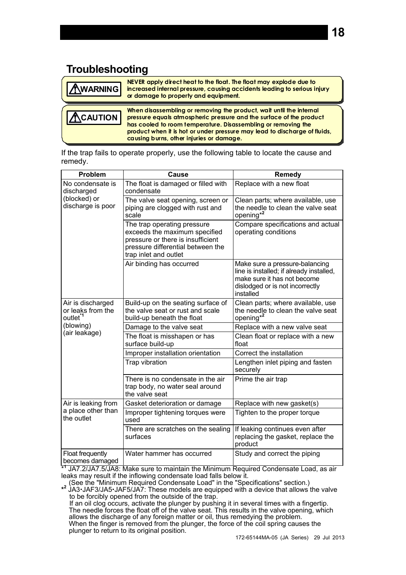# **Troubleshooting**

<span id="page-18-0"></span>

| AWARNING          | NEVER apply direct heat to the float. The float may explode due to<br>increased internal pressure, causing accidents leading to serious injury<br>or damage to property and equipment.                      |
|-------------------|-------------------------------------------------------------------------------------------------------------------------------------------------------------------------------------------------------------|
| $\Lambda$ CAUTION | When disassembling or removing the product, wait until the internal<br>pressure equals atmospheric pressure and the surface of the product<br>has cooled to room temperature. Disassembling or removing the |

If the trap fails to operate properly, use the following table to locate the cause and remedy.

**causing burns, other injuries or damage.**

**product when it is hot or under pressure may lead to discharge of fluids,** 

| Problem                                                        | <b>Cause</b>                                                                                                                                                    | Remedy                                                                                                                                                    |  |  |  |
|----------------------------------------------------------------|-----------------------------------------------------------------------------------------------------------------------------------------------------------------|-----------------------------------------------------------------------------------------------------------------------------------------------------------|--|--|--|
| No condensate is<br>discharged                                 | The float is damaged or filled with<br>condensate                                                                                                               | Replace with a new float                                                                                                                                  |  |  |  |
| (blocked) or<br>discharge is poor                              | The valve seat opening, screen or<br>piping are clogged with rust and<br>scale                                                                                  | Clean parts; where available, use<br>the needle to clean the valve seat<br>opening <sup>*2</sup>                                                          |  |  |  |
|                                                                | The trap operating pressure<br>exceeds the maximum specified<br>pressure or there is insufficient<br>pressure differential between the<br>trap inlet and outlet | Compare specifications and actual<br>operating conditions                                                                                                 |  |  |  |
|                                                                | Air binding has occurred                                                                                                                                        | Make sure a pressure-balancing<br>line is installed; if already installed,<br>make sure it has not become<br>dislodged or is not incorrectly<br>installed |  |  |  |
| Air is discharged<br>or leaks from the<br>outlet <sup>*1</sup> | Build-up on the seating surface of<br>the valve seat or rust and scale<br>build-up beneath the float                                                            | Clean parts; where available, use<br>the needle to clean the valve seat<br>opening <sup>*2</sup>                                                          |  |  |  |
| (blowing)                                                      | Damage to the valve seat                                                                                                                                        | Replace with a new valve seat                                                                                                                             |  |  |  |
| (air leakage)                                                  | The float is misshapen or has<br>surface build-up                                                                                                               | Clean float or replace with a new<br>float                                                                                                                |  |  |  |
|                                                                | Improper installation orientation                                                                                                                               | Correct the installation                                                                                                                                  |  |  |  |
|                                                                | Trap vibration                                                                                                                                                  | Lengthen inlet piping and fasten<br>securely                                                                                                              |  |  |  |
|                                                                | There is no condensate in the air<br>trap body, no water seal around<br>the valve seat                                                                          | Prime the air trap                                                                                                                                        |  |  |  |
| Air is leaking from                                            | Gasket deterioration or damage                                                                                                                                  | Replace with new gasket(s)                                                                                                                                |  |  |  |
| a place other than<br>the outlet                               | Improper tightening torques were<br>used                                                                                                                        | Tighten to the proper torque                                                                                                                              |  |  |  |
|                                                                | There are scratches on the sealing<br>surfaces                                                                                                                  | If leaking continues even after<br>replacing the gasket, replace the<br>product                                                                           |  |  |  |
| Float frequently<br>becomes damaged                            | Water hammer has occurred<br>$\frac{1}{2}$ IAZ 2/14Z ELIAO: Make oure to mointain the Minimum Pequired Condensate Load at                                       | Study and correct the piping                                                                                                                              |  |  |  |

\* JA7.2/JA7.5/JA8: Make sure to maintain the Minimum Required Condensate Load, as air leaks may result if the inflowing condensate load falls below it.

(See the "Minimum Required Condensate Load" in the "Specifications" section.) **\* 2** JA3JAF3/JA5JAF5/JA7: These models are equipped with a device that allows the valve to be forcibly opened from the outside of the trap. If an oil clog occurs, activate the plunger by pushing it in several times with a fingertip. The needle forces the float off of the valve seat. This results in the valve opening, which

allows the discharge of any foreign matter or oil, thus remedying the problem. When the finger is removed from the plunger, the force of the coil spring causes the plunger to return to its original position.

172-65144MA-05 (JA Series) 29 Jul 2013